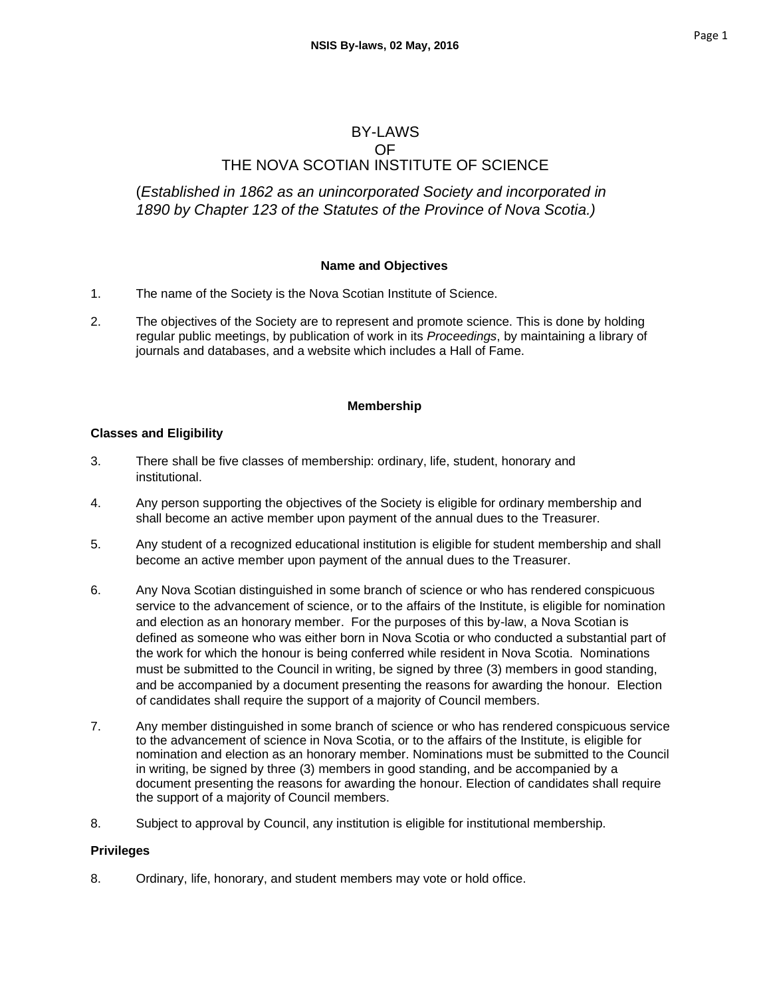# BY-LAWS OF THE NOVA SCOTIAN INSTITUTE OF SCIENCE

(*Established in 1862 as an unincorporated Society and incorporated in 1890 by Chapter 123 of the Statutes of the Province of Nova Scotia.)*

### **Name and Objectives**

- 1. The name of the Society is the Nova Scotian Institute of Science.
- 2. The objectives of the Society are to represent and promote science. This is done by holding regular public meetings, by publication of work in its *Proceedings*, by maintaining a library of journals and databases, and a website which includes a Hall of Fame.

### **Membership**

### **Classes and Eligibility**

- 3. There shall be five classes of membership: ordinary, life, student, honorary and institutional.
- 4. Any person supporting the objectives of the Society is eligible for ordinary membership and shall become an active member upon payment of the annual dues to the Treasurer.
- 5. Any student of a recognized educational institution is eligible for student membership and shall become an active member upon payment of the annual dues to the Treasurer.
- 6. Any Nova Scotian distinguished in some branch of science or who has rendered conspicuous service to the advancement of science, or to the affairs of the Institute, is eligible for nomination and election as an honorary member. For the purposes of this by-law, a Nova Scotian is defined as someone who was either born in Nova Scotia or who conducted a substantial part of the work for which the honour is being conferred while resident in Nova Scotia. Nominations must be submitted to the Council in writing, be signed by three (3) members in good standing, and be accompanied by a document presenting the reasons for awarding the honour. Election of candidates shall require the support of a majority of Council members.
- 7. Any member distinguished in some branch of science or who has rendered conspicuous service to the advancement of science in Nova Scotia, or to the affairs of the Institute, is eligible for nomination and election as an honorary member. Nominations must be submitted to the Council in writing, be signed by three (3) members in good standing, and be accompanied by a document presenting the reasons for awarding the honour. Election of candidates shall require the support of a majority of Council members.
- 8. Subject to approval by Council, any institution is eligible for institutional membership.

### **Privileges**

8. Ordinary, life, honorary, and student members may vote or hold office.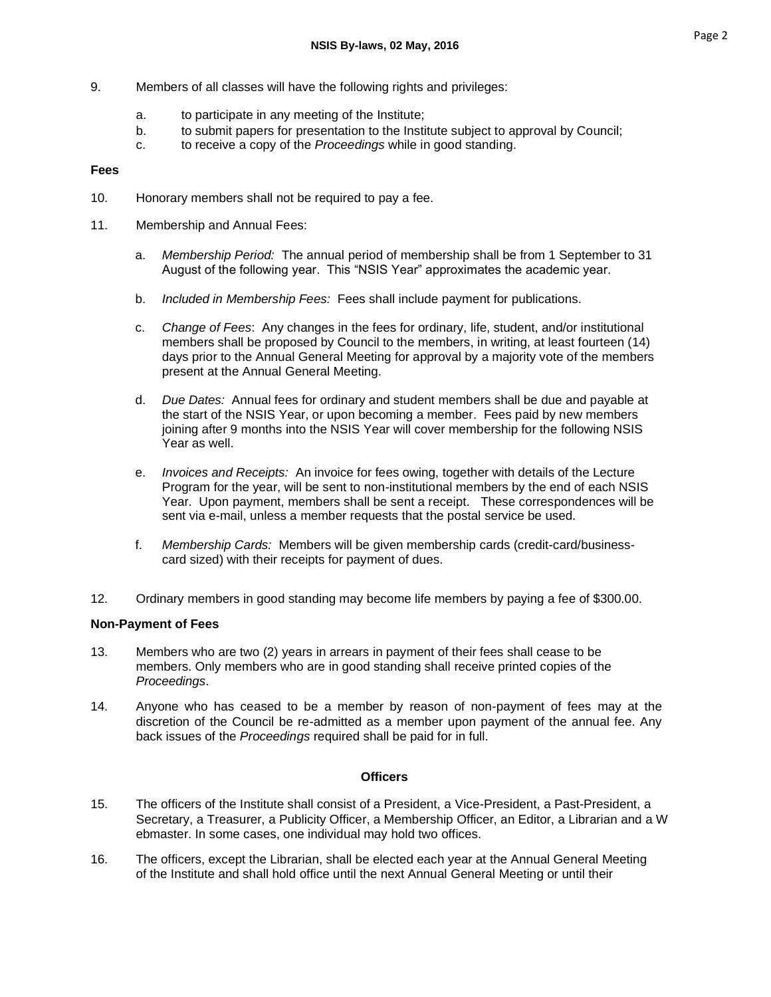- 9. Members of all classes will have the following rights and privileges:
	- a. to participate in any meeting of the Institute;
	- b. to submit papers for presentation to the Institute subject to approval by Council;
	- c. to receive a copy of the *Proceedings* while in good standing.

### **Fees**

- 10. Honorary members shall not be required to pay a fee.
- 11. Membership and Annual Fees:
	- a. *Membership Period:* The annual period of membership shall be from 1 September to 31 August of the following year. This "NSIS Year" approximates the academic year.
	- b. *Included in Membership Fees:* Fees shall include payment for publications.
	- c. *Change of Fees*: Any changes in the fees for ordinary, life, student, and/or institutional members shall be proposed by Council to the members, in writing, at least fourteen (14) days prior to the Annual General Meeting for approval by a majority vote of the members present at the Annual General Meeting.
	- d. *Due Dates:* Annual fees for ordinary and student members shall be due and payable at the start of the NSIS Year, or upon becoming a member. Fees paid by new members joining after 9 months into the NSIS Year will cover membership for the following NSIS Year as well.
	- e. *Invoices and Receipts:* An invoice for fees owing, together with details of the Lecture Program for the year, will be sent to non-institutional members by the end of each NSIS Year. Upon payment, members shall be sent a receipt. These correspondences will be sent via e-mail, unless a member requests that the postal service be used.
	- f. *Membership Cards:* Members will be given membership cards (credit-card/businesscard sized) with their receipts for payment of dues.
- 12. Ordinary members in good standing may become life members by paying a fee of \$300.00.

### **Non-Payment of Fees**

- 13. Members who are two (2) years in arrears in payment of their fees shall cease to be members. Only members who are in good standing shall receive printed copies of the *Proceedings*.
- 14. Anyone who has ceased to be a member by reason of non-payment of fees may at the discretion of the Council be re-admitted as a member upon payment of the annual fee. Any back issues of the *Proceedings* required shall be paid for in full.

### **Officers**

- 15. The officers of the Institute shall consist of a President, a Vice-President, a Past-President, a Secretary, a Treasurer, a Publicity Officer, a Membership Officer, an Editor, a Librarian and a W ebmaster. In some cases, one individual may hold two offices.
- 16. The officers, except the Librarian, shall be elected each year at the Annual General Meeting of the Institute and shall hold office until the next Annual General Meeting or until their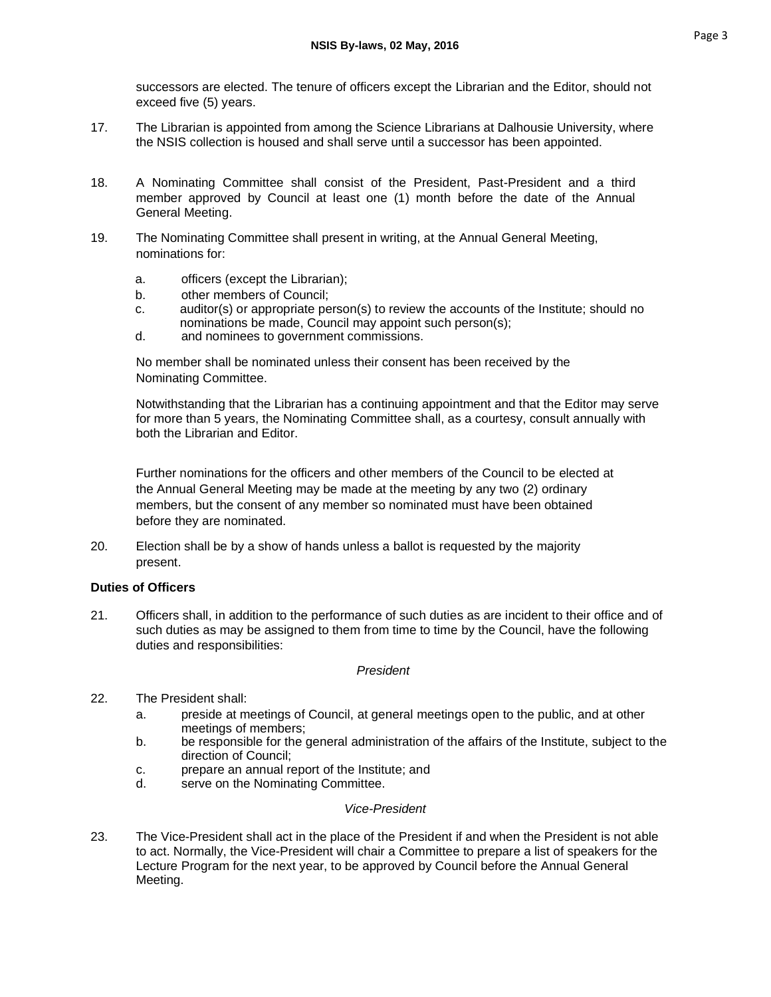successors are elected. The tenure of officers except the Librarian and the Editor, should not exceed five (5) years.

- 17. The Librarian is appointed from among the Science Librarians at Dalhousie University, where the NSIS collection is housed and shall serve until a successor has been appointed.
- 18. A Nominating Committee shall consist of the President, Past-President and a third member approved by Council at least one (1) month before the date of the Annual General Meeting.
- 19. The Nominating Committee shall present in writing, at the Annual General Meeting, nominations for:
	- a. officers (except the Librarian);
	- b. other members of Council;
	- c. auditor(s) or appropriate person(s) to review the accounts of the Institute; should no nominations be made, Council may appoint such person(s);
	- d. and nominees to government commissions.

No member shall be nominated unless their consent has been received by the Nominating Committee.

Notwithstanding that the Librarian has a continuing appointment and that the Editor may serve for more than 5 years, the Nominating Committee shall, as a courtesy, consult annually with both the Librarian and Editor.

Further nominations for the officers and other members of the Council to be elected at the Annual General Meeting may be made at the meeting by any two (2) ordinary members, but the consent of any member so nominated must have been obtained before they are nominated.

20. Election shall be by a show of hands unless a ballot is requested by the majority present.

# **Duties of Officers**

21. Officers shall, in addition to the performance of such duties as are incident to their office and of such duties as may be assigned to them from time to time by the Council, have the following duties and responsibilities:

### *President*

- 22. The President shall:
	- a. preside at meetings of Council, at general meetings open to the public, and at other meetings of members;
	- b. be responsible for the general administration of the affairs of the Institute, subject to the direction of Council;
	- c. prepare an annual report of the Institute; and
	- d. serve on the Nominating Committee.

# *Vice-President*

23. The Vice-President shall act in the place of the President if and when the President is not able to act. Normally, the Vice-President will chair a Committee to prepare a list of speakers for the Lecture Program for the next year, to be approved by Council before the Annual General Meeting.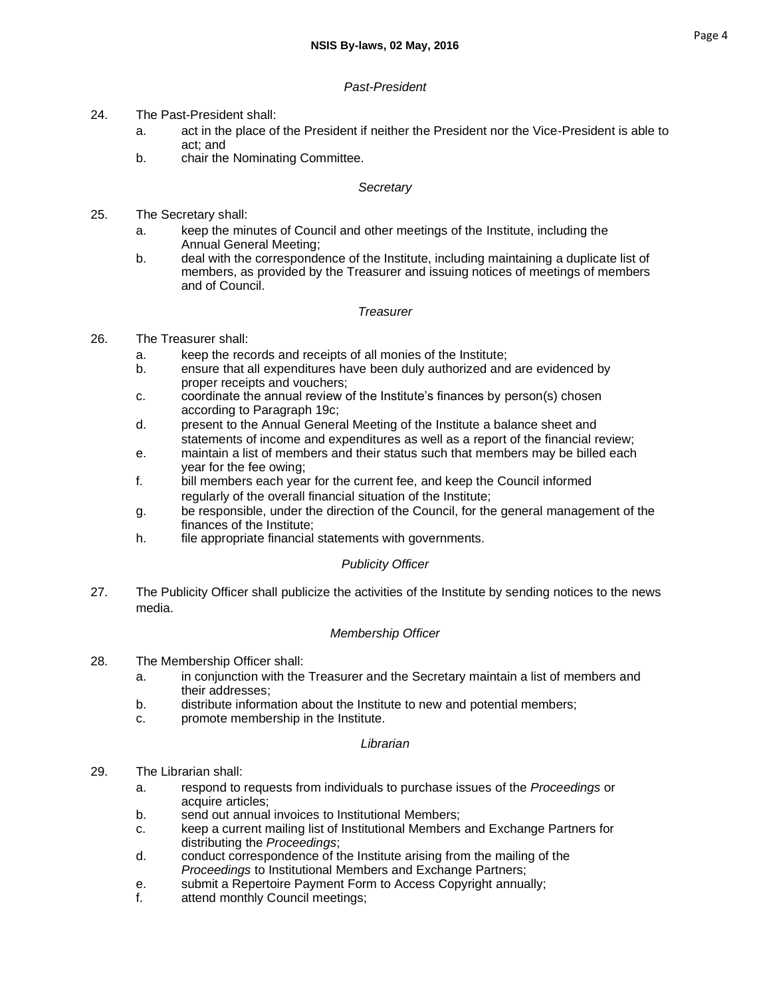# *Past-President*

- 24. The Past-President shall:
	- a. act in the place of the President if neither the President nor the Vice-President is able to act; and
	- b. chair the Nominating Committee.

### *Secretary*

- 25. The Secretary shall:
	- a. keep the minutes of Council and other meetings of the Institute, including the Annual General Meeting;
	- b. deal with the correspondence of the Institute, including maintaining a duplicate list of members, as provided by the Treasurer and issuing notices of meetings of members and of Council.

### *Treasurer*

- 26. The Treasurer shall:
	- a. keep the records and receipts of all monies of the Institute;
	- b. ensure that all expenditures have been duly authorized and are evidenced by proper receipts and vouchers;
	- c. coordinate the annual review of the Institute's finances by person(s) chosen according to Paragraph 19c;
	- d. present to the Annual General Meeting of the Institute a balance sheet and statements of income and expenditures as well as a report of the financial review;
	- e. maintain a list of members and their status such that members may be billed each year for the fee owing;
	- f. bill members each year for the current fee, and keep the Council informed regularly of the overall financial situation of the Institute;
	- g. be responsible, under the direction of the Council, for the general management of the finances of the Institute;
	- h. file appropriate financial statements with governments.

# *Publicity Officer*

27. The Publicity Officer shall publicize the activities of the Institute by sending notices to the news media.

### *Membership Officer*

- 28. The Membership Officer shall:
	- a. in conjunction with the Treasurer and the Secretary maintain a list of members and their addresses;
	- b. distribute information about the Institute to new and potential members;
	- c. promote membership in the Institute.

### *Librarian*

- 29. The Librarian shall:
	- a. respond to requests from individuals to purchase issues of the *Proceedings* or acquire articles;
	- b. send out annual invoices to Institutional Members;
	- c. keep a current mailing list of Institutional Members and Exchange Partners for distributing the *Proceedings*;
	- d. conduct correspondence of the Institute arising from the mailing of the *Proceedings* to Institutional Members and Exchange Partners;
	- e. submit a Repertoire Payment Form to Access Copyright annually;
	- f. attend monthly Council meetings;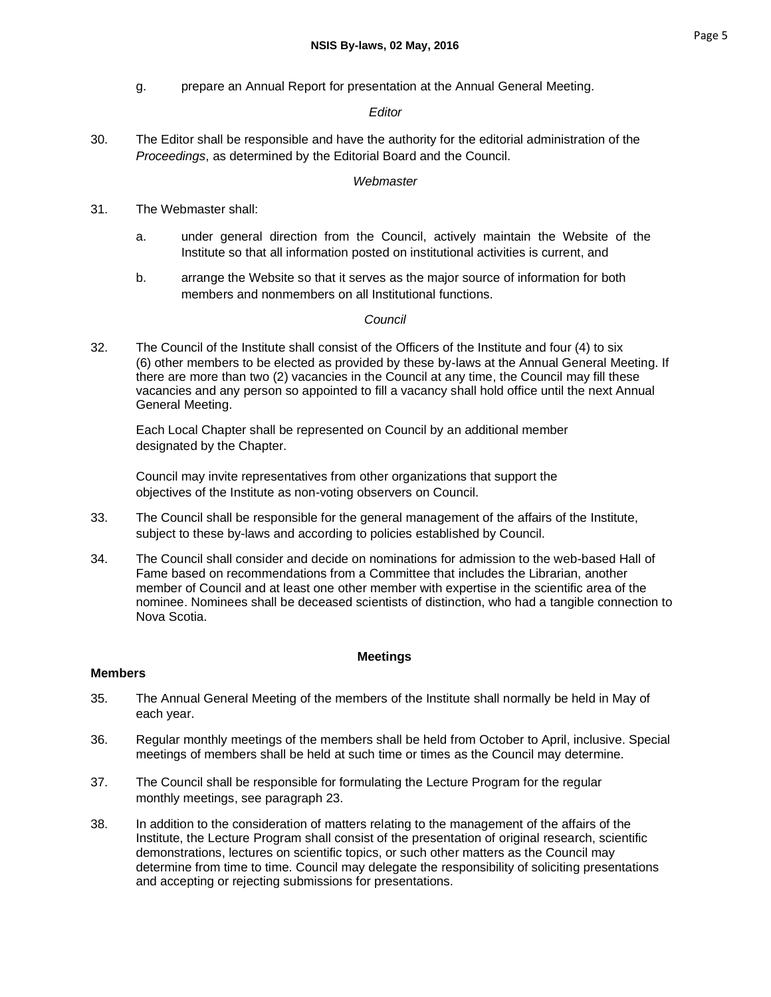g. prepare an Annual Report for presentation at the Annual General Meeting.

# *Editor*

30. The Editor shall be responsible and have the authority for the editorial administration of the *Proceedings*, as determined by the Editorial Board and the Council.

### *Webmaster*

- 31. The Webmaster shall:
	- a. under general direction from the Council, actively maintain the Website of the Institute so that all information posted on institutional activities is current, and
	- b. arrange the Website so that it serves as the major source of information for both members and nonmembers on all Institutional functions.

# *Council*

32. The Council of the Institute shall consist of the Officers of the Institute and four (4) to six (6) other members to be elected as provided by these by-laws at the Annual General Meeting. If there are more than two (2) vacancies in the Council at any time, the Council may fill these vacancies and any person so appointed to fill a vacancy shall hold office until the next Annual General Meeting.

Each Local Chapter shall be represented on Council by an additional member designated by the Chapter.

Council may invite representatives from other organizations that support the objectives of the Institute as non-voting observers on Council.

- 33. The Council shall be responsible for the general management of the affairs of the Institute, subject to these by-laws and according to policies established by Council.
- 34. The Council shall consider and decide on nominations for admission to the web-based Hall of Fame based on recommendations from a Committee that includes the Librarian, another member of Council and at least one other member with expertise in the scientific area of the nominee. Nominees shall be deceased scientists of distinction, who had a tangible connection to Nova Scotia.

# **Meetings**

### **Members**

- 35. The Annual General Meeting of the members of the Institute shall normally be held in May of each year.
- 36. Regular monthly meetings of the members shall be held from October to April, inclusive. Special meetings of members shall be held at such time or times as the Council may determine.
- 37. The Council shall be responsible for formulating the Lecture Program for the regular monthly meetings, see paragraph 23.
- 38. In addition to the consideration of matters relating to the management of the affairs of the Institute, the Lecture Program shall consist of the presentation of original research, scientific demonstrations, lectures on scientific topics, or such other matters as the Council may determine from time to time. Council may delegate the responsibility of soliciting presentations and accepting or rejecting submissions for presentations.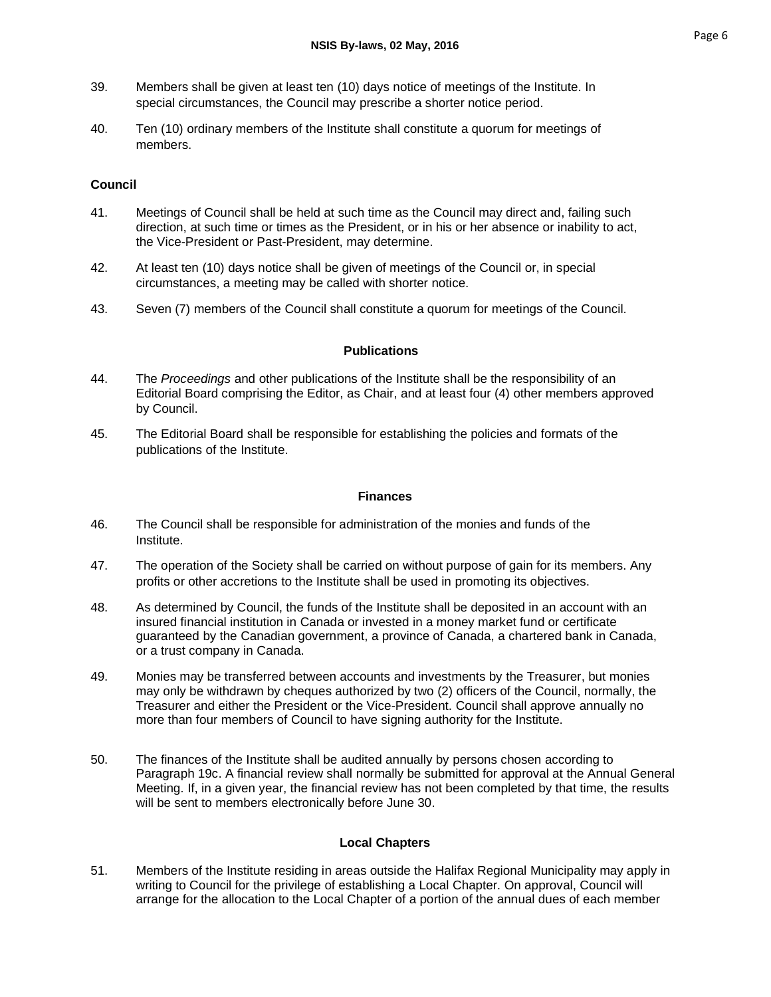- 39. Members shall be given at least ten (10) days notice of meetings of the Institute. In special circumstances, the Council may prescribe a shorter notice period.
- 40. Ten (10) ordinary members of the Institute shall constitute a quorum for meetings of members.

# **Council**

- 41. Meetings of Council shall be held at such time as the Council may direct and, failing such direction, at such time or times as the President, or in his or her absence or inability to act, the Vice-President or Past-President, may determine.
- 42. At least ten (10) days notice shall be given of meetings of the Council or, in special circumstances, a meeting may be called with shorter notice.
- 43. Seven (7) members of the Council shall constitute a quorum for meetings of the Council.

### **Publications**

- 44. The *Proceedings* and other publications of the Institute shall be the responsibility of an Editorial Board comprising the Editor, as Chair, and at least four (4) other members approved by Council.
- 45. The Editorial Board shall be responsible for establishing the policies and formats of the publications of the Institute.

### **Finances**

- 46. The Council shall be responsible for administration of the monies and funds of the Institute.
- 47. The operation of the Society shall be carried on without purpose of gain for its members. Any profits or other accretions to the Institute shall be used in promoting its objectives.
- 48. As determined by Council, the funds of the Institute shall be deposited in an account with an insured financial institution in Canada or invested in a money market fund or certificate guaranteed by the Canadian government, a province of Canada, a chartered bank in Canada, or a trust company in Canada.
- 49. Monies may be transferred between accounts and investments by the Treasurer, but monies may only be withdrawn by cheques authorized by two (2) officers of the Council, normally, the Treasurer and either the President or the Vice-President. Council shall approve annually no more than four members of Council to have signing authority for the Institute.
- 50. The finances of the Institute shall be audited annually by persons chosen according to Paragraph 19c. A financial review shall normally be submitted for approval at the Annual General Meeting. If, in a given year, the financial review has not been completed by that time, the results will be sent to members electronically before June 30.

# **Local Chapters**

51. Members of the Institute residing in areas outside the Halifax Regional Municipality may apply in writing to Council for the privilege of establishing a Local Chapter. On approval, Council will arrange for the allocation to the Local Chapter of a portion of the annual dues of each member